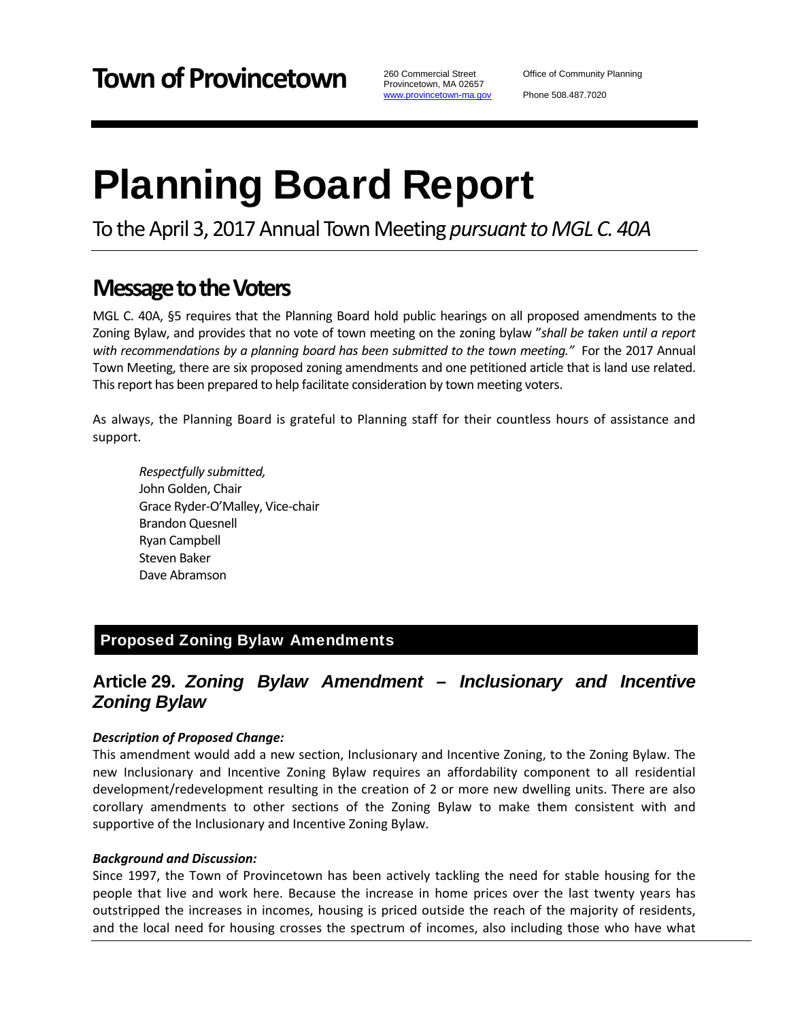Provincetown, MA 02657 www.provincetown-ma.gov

# Planning Board Report

To the April 3, 2017 Annual Town Meeting *pursuant to MGL C. 40A* 

## **Message to the Voters**

MGL C. 40A, §5 requires that the Planning Board hold public hearings on all proposed amendments to the Zoning Bylaw, and provides that no vote of town meeting on the zoning bylaw "*shall be taken until a report with recommendations by a planning board has been submitted to the town meeting."* For the 2017 Annual Town Meeting, there are six proposed zoning amendments and one petitioned article that is land use related. This report has been prepared to help facilitate consideration by town meeting voters.

As always, the Planning Board is grateful to Planning staff for their countless hours of assistance and support.

*Respectfully submitted,* John Golden, Chair Grace Ryder‐O'Malley, Vice‐chair Brandon Quesnell Ryan Campbell Steven Baker Dave Abramson

## Proposed Zoning Bylaw Amendments

## **Article 29.** *Zoning Bylaw Amendment – Inclusionary and Incentive Zoning Bylaw*

#### *Description of Proposed Change:*

This amendment would add a new section, Inclusionary and Incentive Zoning, to the Zoning Bylaw. The new Inclusionary and Incentive Zoning Bylaw requires an affordability component to all residential development/redevelopment resulting in the creation of 2 or more new dwelling units. There are also corollary amendments to other sections of the Zoning Bylaw to make them consistent with and supportive of the Inclusionary and Incentive Zoning Bylaw.

#### *Background and Discussion:*

Since 1997, the Town of Provincetown has been actively tackling the need for stable housing for the people that live and work here. Because the increase in home prices over the last twenty years has outstripped the increases in incomes, housing is priced outside the reach of the majority of residents, and the local need for housing crosses the spectrum of incomes, also including those who have what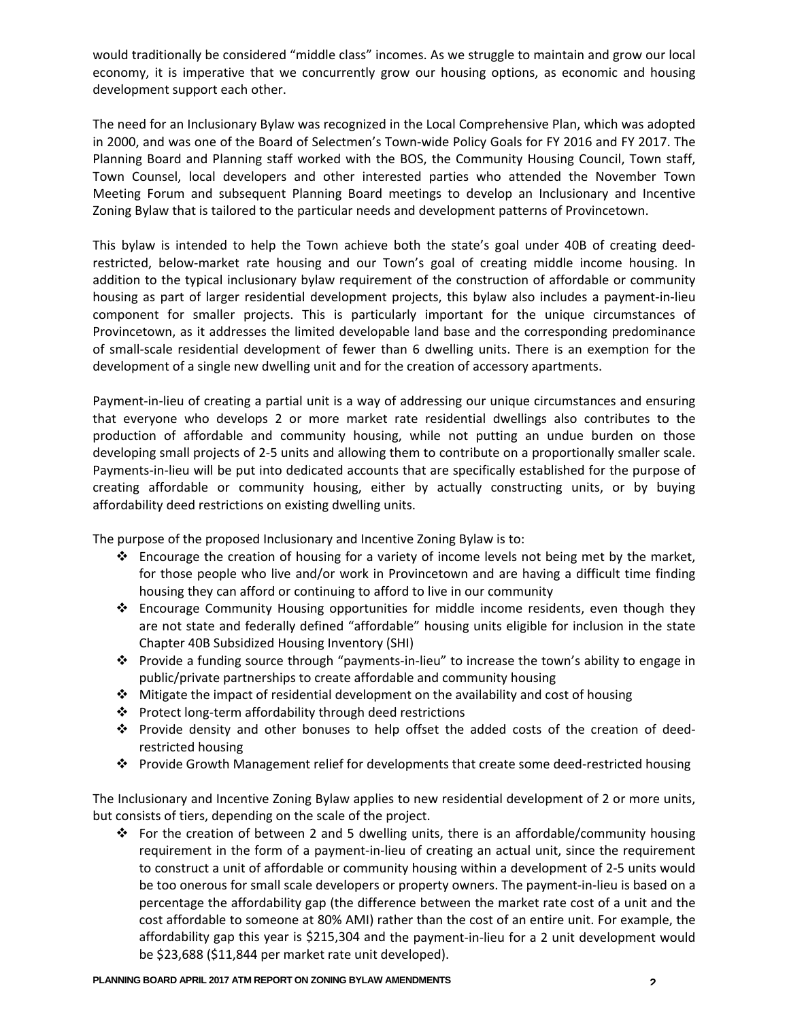would traditionally be considered "middle class" incomes. As we struggle to maintain and grow our local economy, it is imperative that we concurrently grow our housing options, as economic and housing development support each other.

The need for an Inclusionary Bylaw was recognized in the Local Comprehensive Plan, which was adopted in 2000, and was one of the Board of Selectmen's Town-wide Policy Goals for FY 2016 and FY 2017. The Planning Board and Planning staff worked with the BOS, the Community Housing Council, Town staff, Town Counsel, local developers and other interested parties who attended the November Town Meeting Forum and subsequent Planning Board meetings to develop an Inclusionary and Incentive Zoning Bylaw that is tailored to the particular needs and development patterns of Provincetown.

This bylaw is intended to help the Town achieve both the state's goal under 40B of creating deed‐ restricted, below-market rate housing and our Town's goal of creating middle income housing. In addition to the typical inclusionary bylaw requirement of the construction of affordable or community housing as part of larger residential development projects, this bylaw also includes a payment‐in‐lieu component for smaller projects. This is particularly important for the unique circumstances of Provincetown, as it addresses the limited developable land base and the corresponding predominance of small‐scale residential development of fewer than 6 dwelling units. There is an exemption for the development of a single new dwelling unit and for the creation of accessory apartments.

Payment-in-lieu of creating a partial unit is a way of addressing our unique circumstances and ensuring that everyone who develops 2 or more market rate residential dwellings also contributes to the production of affordable and community housing, while not putting an undue burden on those developing small projects of 2‐5 units and allowing them to contribute on a proportionally smaller scale. Payments‐in‐lieu will be put into dedicated accounts that are specifically established for the purpose of creating affordable or community housing, either by actually constructing units, or by buying affordability deed restrictions on existing dwelling units.

The purpose of the proposed Inclusionary and Incentive Zoning Bylaw is to:

- $\div$  Encourage the creation of housing for a variety of income levels not being met by the market, for those people who live and/or work in Provincetown and are having a difficult time finding housing they can afford or continuing to afford to live in our community
- Encourage Community Housing opportunities for middle income residents, even though they are not state and federally defined "affordable" housing units eligible for inclusion in the state Chapter 40B Subsidized Housing Inventory (SHI)
- Provide a funding source through "payments‐in‐lieu" to increase the town's ability to engage in public/private partnerships to create affordable and community housing
- $\cdot \cdot$  Mitigate the impact of residential development on the availability and cost of housing
- Protect long‐term affordability through deed restrictions
- Provide density and other bonuses to help offset the added costs of the creation of deed‐ restricted housing
- Provide Growth Management relief for developments that create some deed‐restricted housing

The Inclusionary and Incentive Zoning Bylaw applies to new residential development of 2 or more units, but consists of tiers, depending on the scale of the project.

For the creation of between 2 and 5 dwelling units, there is an affordable/community housing requirement in the form of a payment-in-lieu of creating an actual unit, since the requirement to construct a unit of affordable or community housing within a development of 2‐5 units would be too onerous for small scale developers or property owners. The payment-in-lieu is based on a percentage the affordability gap (the difference between the market rate cost of a unit and the cost affordable to someone at 80% AMI) rather than the cost of an entire unit. For example, the affordability gap this year is \$215,304 and the payment‐in‐lieu for a 2 unit development would be \$23,688 (\$11,844 per market rate unit developed).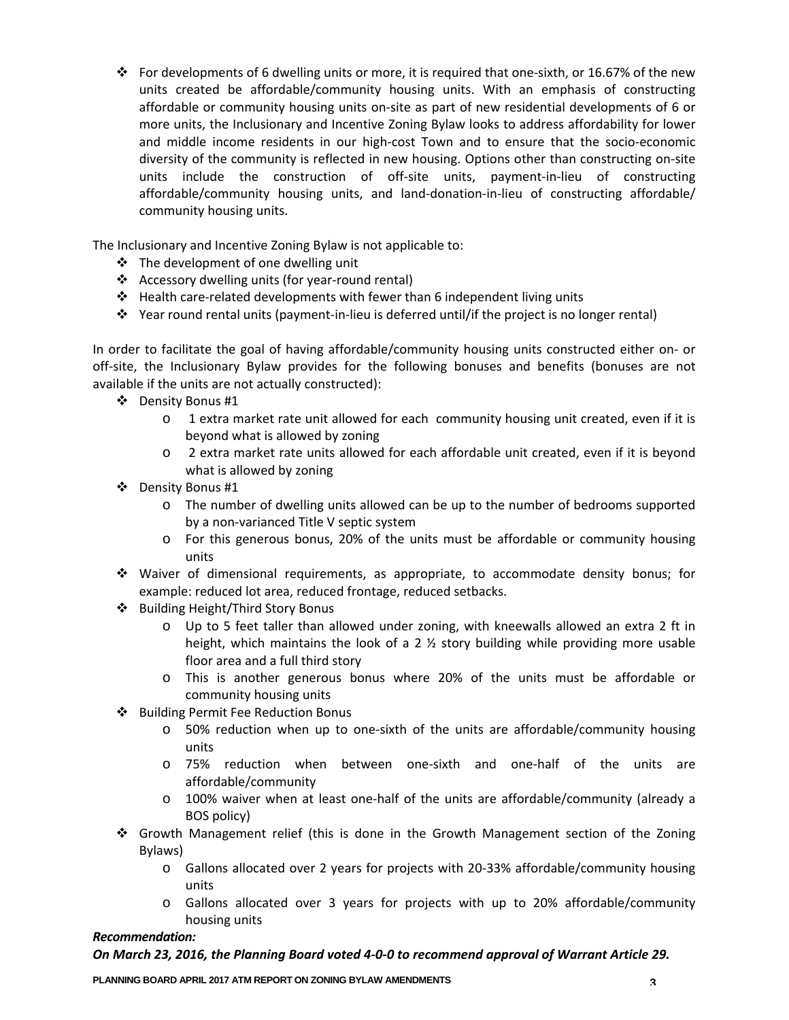For developments of 6 dwelling units or more, it is required that one-sixth, or 16.67% of the new units created be affordable/community housing units. With an emphasis of constructing affordable or community housing units on‐site as part of new residential developments of 6 or more units, the Inclusionary and Incentive Zoning Bylaw looks to address affordability for lower and middle income residents in our high‐cost Town and to ensure that the socio‐economic diversity of the community is reflected in new housing. Options other than constructing on‐site units include the construction of off-site units, payment-in-lieu of constructing affordable/community housing units, and land‐donation‐in‐lieu of constructing affordable/ community housing units.

The Inclusionary and Incentive Zoning Bylaw is not applicable to:

- $\triangle$  The development of one dwelling unit
- Accessory dwelling units (for year‐round rental)
- Health care‐related developments with fewer than 6 independent living units
- Year round rental units (payment‐in‐lieu is deferred until/if the project is no longer rental)

In order to facilitate the goal of having affordable/community housing units constructed either on‐ or off-site, the Inclusionary Bylaw provides for the following bonuses and benefits (bonuses are not available if the units are not actually constructed):

- ❖ Density Bonus #1
	- o 1 extra market rate unit allowed for each community housing unit created, even if it is beyond what is allowed by zoning
	- o 2 extra market rate units allowed for each affordable unit created, even if it is beyond what is allowed by zoning
- Density Bonus #1
	- o The number of dwelling units allowed can be up to the number of bedrooms supported by a non‐varianced Title V septic system
	- o For this generous bonus, 20% of the units must be affordable or community housing units
- Waiver of dimensional requirements, as appropriate, to accommodate density bonus; for example: reduced lot area, reduced frontage, reduced setbacks.
- ❖ Building Height/Third Story Bonus
	- o Up to 5 feet taller than allowed under zoning, with kneewalls allowed an extra 2 ft in height, which maintains the look of a 2 ½ story building while providing more usable floor area and a full third story
	- o This is another generous bonus where 20% of the units must be affordable or community housing units
- ❖ Building Permit Fee Reduction Bonus
	- o 50% reduction when up to one‐sixth of the units are affordable/community housing units
	- o 75% reduction when between one‐sixth and one‐half of the units are affordable/community
	- o 100% waiver when at least one‐half of the units are affordable/community (already a BOS policy)
- Growth Management relief (this is done in the Growth Management section of the Zoning Bylaws)
	- o Gallons allocated over 2 years for projects with 20‐33% affordable/community housing units
	- o Gallons allocated over 3 years for projects with up to 20% affordable/community housing units

#### *Recommendation:*

#### On March 23, 2016, the Planning Board voted 4-0-0 to recommend approval of Warrant Article 29.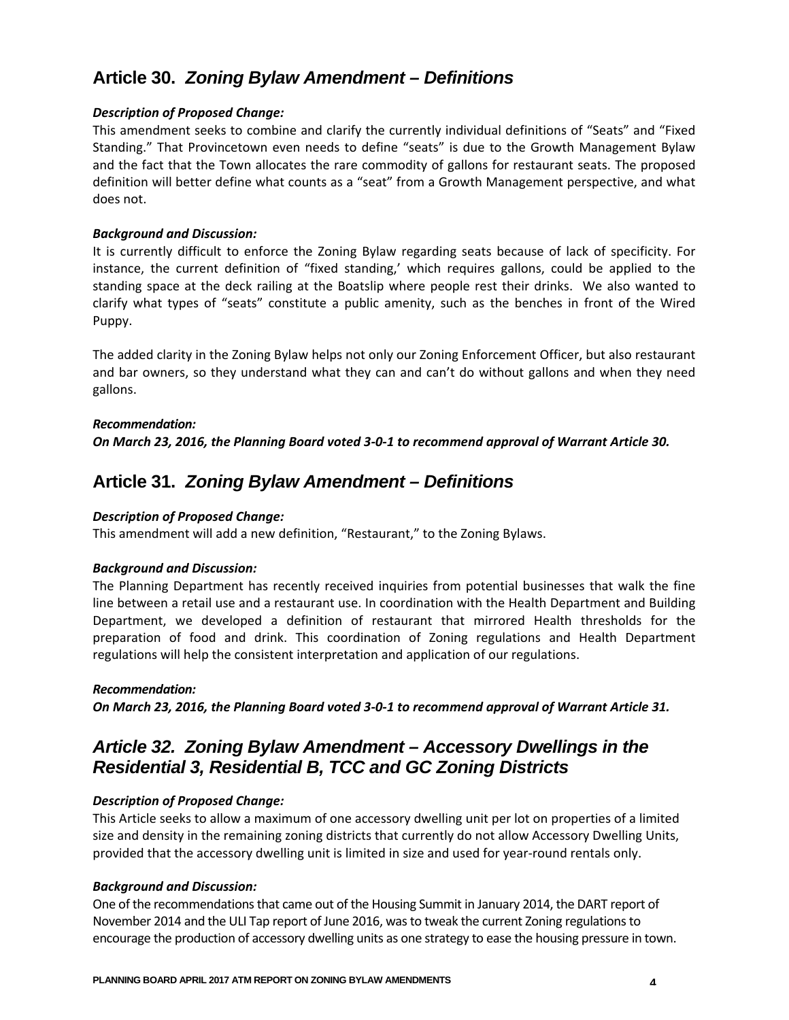## **Article 30.** *Zoning Bylaw Amendment – Definitions*

#### *Description of Proposed Change:*

This amendment seeks to combine and clarify the currently individual definitions of "Seats" and "Fixed Standing." That Provincetown even needs to define "seats" is due to the Growth Management Bylaw and the fact that the Town allocates the rare commodity of gallons for restaurant seats. The proposed definition will better define what counts as a "seat" from a Growth Management perspective, and what does not.

#### *Background and Discussion:*

It is currently difficult to enforce the Zoning Bylaw regarding seats because of lack of specificity. For instance, the current definition of "fixed standing,' which requires gallons, could be applied to the standing space at the deck railing at the Boatslip where people rest their drinks. We also wanted to clarify what types of "seats" constitute a public amenity, such as the benches in front of the Wired Puppy.

The added clarity in the Zoning Bylaw helps not only our Zoning Enforcement Officer, but also restaurant and bar owners, so they understand what they can and can't do without gallons and when they need gallons.

### *Recommendation:* On March 23, 2016, the Planning Board voted 3-0-1 to recommend approval of Warrant Article 30.

## **Article 31.** *Zoning Bylaw Amendment – Definitions*

#### *Description of Proposed Change:*

This amendment will add a new definition, "Restaurant," to the Zoning Bylaws.

#### *Background and Discussion:*

The Planning Department has recently received inquiries from potential businesses that walk the fine line between a retail use and a restaurant use. In coordination with the Health Department and Building Department, we developed a definition of restaurant that mirrored Health thresholds for the preparation of food and drink. This coordination of Zoning regulations and Health Department regulations will help the consistent interpretation and application of our regulations.

#### *Recommendation:*

On March 23, 2016, the Planning Board voted 3-0-1 to recommend approval of Warrant Article 31.

## *Article 32. Zoning Bylaw Amendment – Accessory Dwellings in the Residential 3, Residential B, TCC and GC Zoning Districts*

#### *Description of Proposed Change:*

This Article seeks to allow a maximum of one accessory dwelling unit per lot on properties of a limited size and density in the remaining zoning districts that currently do not allow Accessory Dwelling Units, provided that the accessory dwelling unit is limited in size and used for year-round rentals only.

#### *Background and Discussion:*

One of the recommendations that came out of the Housing Summit in January 2014, the DART report of November 2014 and the ULI Tap report of June 2016, wasto tweak the current Zoning regulationsto encourage the production of accessory dwelling units as one strategy to ease the housing pressure in town.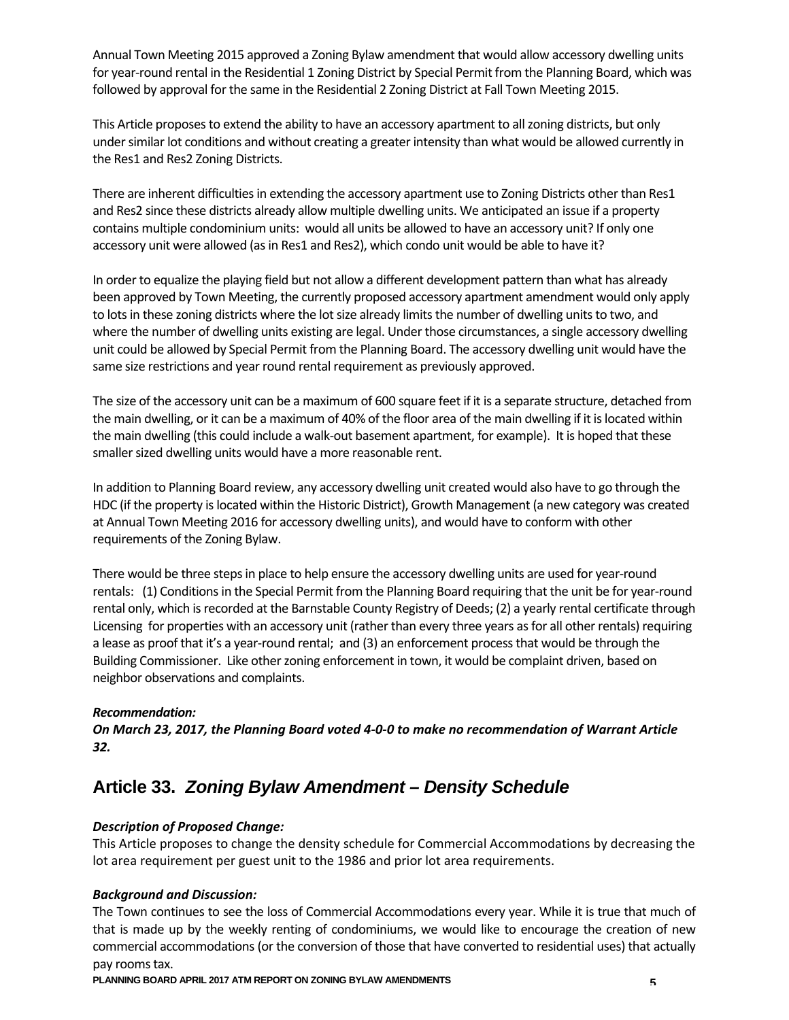Annual Town Meeting 2015 approved a Zoning Bylaw amendment that would allow accessory dwelling units for year-round rental in the Residential 1 Zoning District by Special Permit from the Planning Board, which was followed by approval for the same in the Residential 2 Zoning District at Fall Town Meeting 2015.

This Article proposesto extend the ability to have an accessory apartment to allzoning districts, but only under similar lot conditions and without creating a greater intensity than what would be allowed currently in the Res1 and Res2 Zoning Districts.

There are inherent difficulties in extending the accessory apartment use to Zoning Districts other than Res1 and Res2 since these districts already allow multiple dwelling units. We anticipated an issue if a property contains multiple condominium units: would all units be allowed to have an accessory unit? If only one accessory unit were allowed (as in Res1 and Res2), which condo unit would be able to have it?

In order to equalize the playing field but not allow a different development pattern than what has already been approved by Town Meeting, the currently proposed accessory apartment amendment would only apply to lots in these zoning districts where the lot size already limits the number of dwelling units to two, and where the number of dwelling units existing are legal. Under those circumstances, a single accessory dwelling unit could be allowed by Special Permit from the Planning Board. The accessory dwelling unit would have the same size restrictions and year round rental requirement as previously approved.

The size of the accessory unit can be a maximum of 600 square feet if it is a separate structure, detached from the main dwelling, or it can be a maximum of 40% of the floor area of the main dwelling if it islocated within the main dwelling (this could include a walk-out basement apartment, for example). It is hoped that these smaller sized dwelling units would have a more reasonable rent.

In addition to Planning Board review, any accessory dwelling unit created would also have to go through the HDC (if the property islocated within the Historic District), Growth Management (a new category was created at Annual Town Meeting 2016 for accessory dwelling units), and would have to conform with other requirements of the Zoning Bylaw.

There would be three steps in place to help ensure the accessory dwelling units are used for year-round rentals: (1) Conditions in the Special Permit from the Planning Board requiring that the unit be for year-round rental only, which is recorded at the Barnstable County Registry of Deeds; (2) a yearly rental certificate through Licensing for properties with an accessory unit (rather than every three years asfor all other rentals) requiring a lease as proof that it's a year‐round rental; and (3) an enforcement processthat would be through the Building Commissioner. Like other zoning enforcement in town, it would be complaint driven, based on neighbor observations and complaints.

#### *Recommendation:*

On March 23, 2017, the Planning Board voted 4-0-0 to make no recommendation of Warrant Article *32.*

## **Article 33.** *Zoning Bylaw Amendment – Density Schedule*

#### *Description of Proposed Change:*

This Article proposes to change the density schedule for Commercial Accommodations by decreasing the lot area requirement per guest unit to the 1986 and prior lot area requirements.

#### *Background and Discussion:*

The Town continues to see the loss of Commercial Accommodations every year. While it is true that much of that is made up by the weekly renting of condominiums, we would like to encourage the creation of new commercial accommodations (or the conversion of those that have converted to residential uses) that actually pay rooms tax.

**PLANNING BOARD APRIL 2017 ATM REPORT ON ZONING BYLAW AMENDMENTS** 5